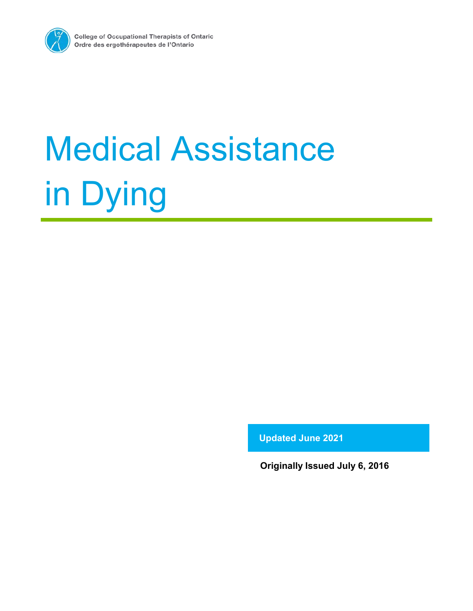

**Updated June 2021**

**Originally Issued July 6, 2016**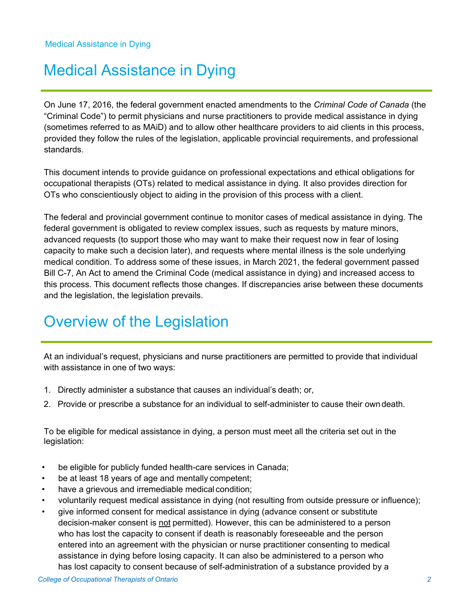On June 17, 2016, the federal government enacted amendments to the *Criminal Code of Canada* (the "Criminal Code") to permit physicians and nurse practitioners to provide medical assistance in dying (sometimes referred to as MAiD) and to allow other healthcare providers to aid clients in this process, provided they follow the rules of the legislation, applicable provincial requirements, and professional standards.

This document intends to provide guidance on professional expectations and ethical obligations for occupational therapists (OTs) related to medical assistance in dying. It also provides direction for OTs who conscientiously object to aiding in the provision of this process with a client.

The federal and provincial government continue to monitor cases of medical assistance in dying. The federal government is obligated to review complex issues, such as requests by mature minors, advanced requests (to support those who may want to make their request now in fear of losing capacity to make such a decision later), and requests where mental illness is the sole underlying medical condition. To address some of these issues, in March 2021, the federal government passed Bill C-7, An Act to amend the Criminal Code (medical assistance in dying) and increased access to this process. This document reflects those changes. If discrepancies arise between these documents and the legislation, the legislation prevails.

# Overview of the Legislation

At an individual's request, physicians and nurse practitioners are permitted to provide that individual with assistance in one of two ways:

- 1. Directly administer a substance that causes an individual's death; or,
- 2. Provide or prescribe a substance for an individual to self-administer to cause their own death.

To be eligible for medical assistance in dying, a person must meet all the criteria set out in the legislation:

- be eligible for publicly funded health-care services in Canada;
- be at least 18 years of age and mentally competent;
- have a grievous and irremediable medical condition;
- voluntarily request medical assistance in dying (not resulting from outside pressure or influence);
- give informed consent for medical assistance in dying (advance consent or substitute decision-maker consent is not permitted). However, this can be administered to a person who has lost the capacity to consent if death is reasonably foreseeable and the person entered into an agreement with the physician or nurse practitioner consenting to medical assistance in dying before losing capacity. It can also be administered to a person who has lost capacity to consent because of self-administration of a substance provided by a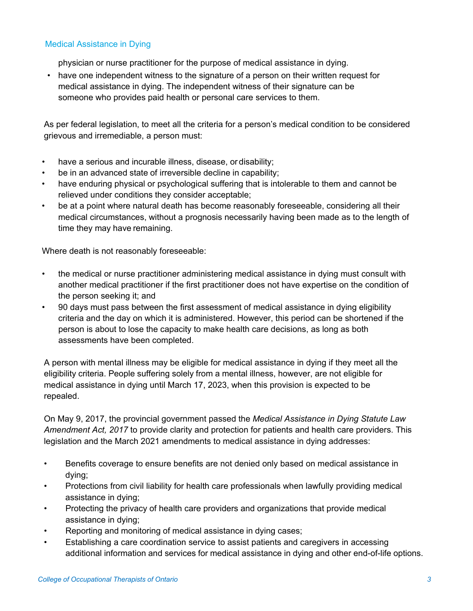- physician or nurse practitioner for the purpose of medical assistance in dying.
- have one independent witness to the signature of a person on their written request for medical assistance in dying. The independent witness of their signature can be someone who provides paid health or personal care services to them.

As per federal legislation, to meet all the criteria for a person's medical condition to be considered grievous and irremediable, a person must:

- have a serious and incurable illness, disease, or disability;
- be in an advanced state of irreversible decline in capability;
- have enduring physical or psychological suffering that is intolerable to them and cannot be relieved under conditions they consider acceptable;
- be at a point where natural death has become reasonably foreseeable, considering all their medical circumstances, without a prognosis necessarily having been made as to the length of time they may have remaining.

Where death is not reasonably foreseeable:

- the medical or nurse practitioner administering medical assistance in dying must consult with another medical practitioner if the first practitioner does not have expertise on the condition of the person seeking it; and
- 90 days must pass between the first assessment of medical assistance in dying eligibility criteria and the day on which it is administered. However, this period can be shortened if the person is about to lose the capacity to make health care decisions, as long as both assessments have been completed.

A person with mental illness may be eligible for medical assistance in dying if they meet all the eligibility criteria. People suffering solely from a mental illness, however, are not eligible for medical assistance in dying until March 17, 2023, when this provision is expected to be repealed.

On May 9, 2017, the provincial government passed the *Medical Assistance in Dying Statute Law Amendment Act, 2017* to provide clarity and protection for patients and health care providers. This legislation and the March 2021 amendments to medical assistance in dying addresses:

- Benefits coverage to ensure benefits are not denied only based on medical assistance in dying;
- Protections from civil liability for health care professionals when lawfully providing medical assistance in dying;
- Protecting the privacy of health care providers and organizations that provide medical assistance in dying;
- Reporting and monitoring of medical assistance in dying cases;
- Establishing a care coordination service to assist patients and caregivers in accessing additional information and services for medical assistance in dying and other end-of-life options.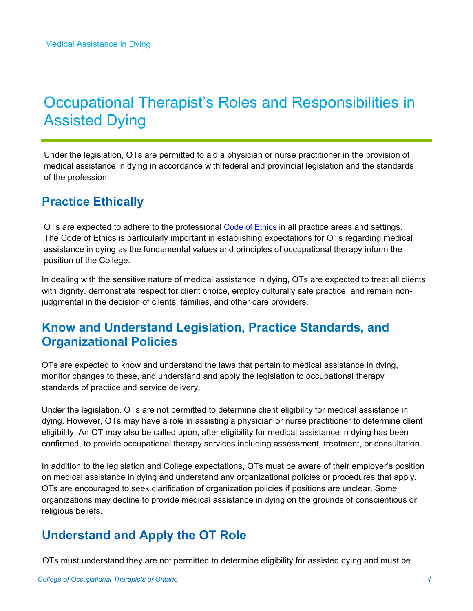# Occupational Therapist's Roles and Responsibilities in Assisted Dying

Under the legislation, OTs are permitted to aid a physician or nurse practitioner in the provision of medical assistance in dying in accordance with federal and provincial legislation and the standards of the profession.

### **Practice Ethically**

OTs are expected to adhere to the professional [Code of Ethics](https://www.coto.org/docs/default-source/pdfs/code-of-ethics-2020.pdf?sfvrsn=ec605359_24) in all practice areas and settings. The Code of Ethics is particularly important in establishing expectations for OTs regarding medical assistance in dying as the fundamental values and principles of occupational therapy inform the position of the College.

In dealing with the sensitive nature of medical assistance in dying, OTs are expected to treat all clients with dignity, demonstrate respect for client choice, employ culturally safe practice, and remain nonjudgmental in the decision of clients, families, and other care providers.

#### **Know and Understand Legislation, Practice Standards, and Organizational Policies**

OTs are expected to know and understand the laws that pertain to medical assistance in dying, monitor changes to these, and understand and apply the legislation to occupational therapy standards of practice and service delivery.

Under the legislation, OTs are not permitted to determine client eligibility for medical assistance in dying. However, OTs may have a role in assisting a physician or nurse practitioner to determine client eligibility. An OT may also be called upon, after eligibility for medical assistance in dying has been confirmed, to provide occupational therapy services including assessment, treatment, or consultation.

In addition to the legislation and College expectations, OTs must be aware of their employer's position on medical assistance in dying and understand any organizational policies or procedures that apply. OTs are encouraged to seek clarification of organization policies if positions are unclear. Some organizations may decline to provide medical assistance in dying on the grounds of conscientious or religious beliefs.

## **Understand and Apply the OT Role**

OTs must understand they are not permitted to determine eligibility for assisted dying and must be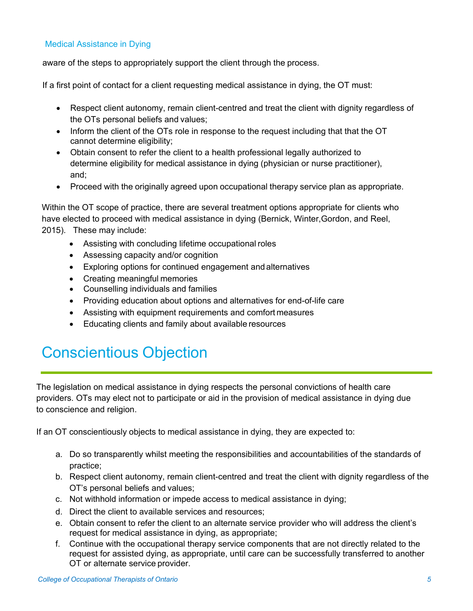aware of the steps to appropriately support the client through the process.

If a first point of contact for a client requesting medical assistance in dying, the OT must:

- Respect client autonomy, remain client-centred and treat the client with dignity regardless of the OTs personal beliefs and values;
- Inform the client of the OTs role in response to the request including that that the OT cannot determine eligibility;
- Obtain consent to refer the client to a health professional legally authorized to determine eligibility for medical assistance in dying (physician or nurse practitioner), and;
- Proceed with the originally agreed upon occupational therapy service plan as appropriate.

Within the OT scope of practice, there are several treatment options appropriate for clients who have elected to proceed with medical assistance in dying (Bernick, Winter,Gordon, and Reel, 2015). These may include:

- Assisting with concluding lifetime occupational roles
- Assessing capacity and/or cognition
- Exploring options for continued engagement and alternatives
- Creating meaningful memories
- Counselling individuals and families
- Providing education about options and alternatives for end-of-life care
- Assisting with equipment requirements and comfort measures
- Educating clients and family about available resources

# Conscientious Objection

The legislation on medical assistance in dying respects the personal convictions of health care providers. OTs may elect not to participate or aid in the provision of medical assistance in dying due to conscience and religion.

If an OT conscientiously objects to medical assistance in dying, they are expected to:

- a. Do so transparently whilst meeting the responsibilities and accountabilities of the standards of practice;
- b. Respect client autonomy, remain client-centred and treat the client with dignity regardless of the OT's personal beliefs and values;
- c. Not withhold information or impede access to medical assistance in dying;
- d. Direct the client to available services and resources;
- e. Obtain consent to refer the client to an alternate service provider who will address the client's request for medical assistance in dying, as appropriate;
- f. Continue with the occupational therapy service components that are not directly related to the request for assisted dying, as appropriate, until care can be successfully transferred to another OT or alternate service provider.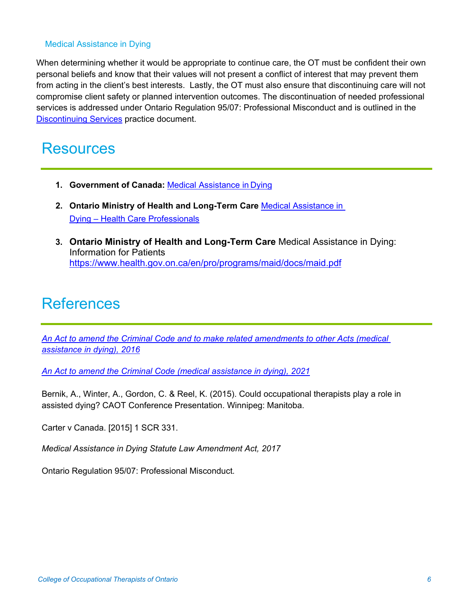When determining whether it would be appropriate to continue care, the OT must be confident their own personal beliefs and know that their values will not present a conflict of interest that may prevent them from acting in the client's best interests. Lastly, the OT must also ensure that discontinuing care will not compromise client safety or planned intervention outcomes. The discontinuation of needed professional services is addressed under Ontario Regulation 95/07: Professional Misconduct and is outlined in the [Discontinuing Services](https://www.coto.org/docs/default-source/default-document-library/discontinuing-services.pdf?sfvrsn=5d3cfe31_4) practice document.

## **Resources**

- **1. Government of Canada:** Medical [Assistance](https://www.canada.ca/en/health-canada/services/medical-assistance-dying.html) in Dying
- **2. Ontario Ministry of Health and Long-Term Care** Medical [Assistance in](https://www.health.gov.on.ca/en/pro/programs/maid/)  Dying – [Health Care Professionals](https://www.health.gov.on.ca/en/pro/programs/maid/)
- **3. Ontario Ministry of Health and Long-Term Care** Medical Assistance in Dying: Information for Patients <https://www.health.gov.on.ca/en/pro/programs/maid/docs/maid.pdf>

# **References**

*[An Act to amend the Criminal Code and to make related amendments to other Acts](https://www.parl.ca/legisinfo/BillDetails.aspx?Language=E&billId=8177165) (medical [assistance in dying\), 2016](https://www.parl.ca/legisinfo/BillDetails.aspx?Language=E&billId=8177165)*

*[An Act to amend the Criminal Code \(medical assistance in dying\), 2021](https://parl.ca/DocumentViewer/en/43-2/bill/C-7/royal-assent)*

Bernik, A., Winter, A., Gordon, C. & Reel, K. (2015). Could occupational therapists play a role in assisted dying? CAOT Conference Presentation. Winnipeg: Manitoba.

Carter v Canada. [2015] 1 SCR 331.

*Medical Assistance in Dying Statute Law Amendment Act, 2017*

Ontario Regulation 95/07: Professional Misconduct*.*